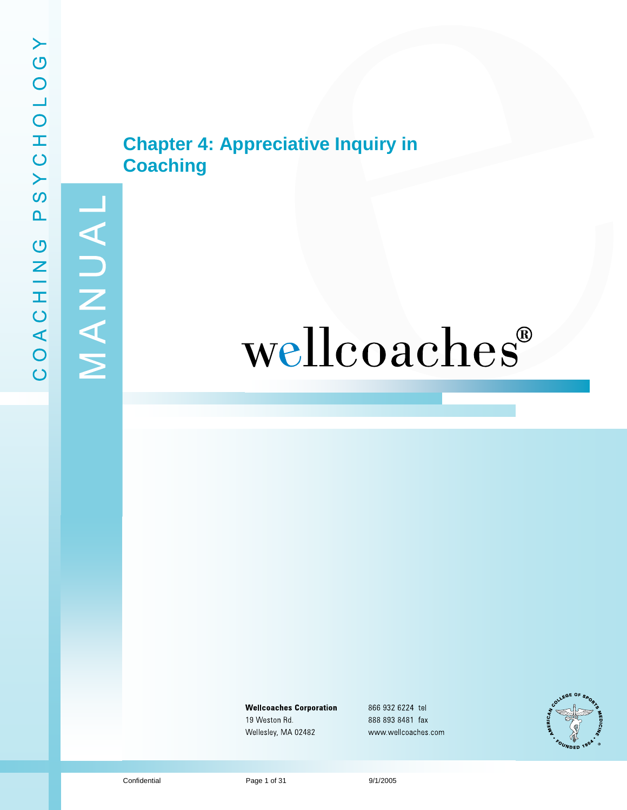MANUAL

#### **Chapter 4: Appreciative Inquiry in Coaching**

# wellcoaches®

**Wellcoaches Corporation** 19 Weston Rd. Wellesley, MA 02482

866 932 6224 tel 888 893 8481 fax www.wellcoaches.com

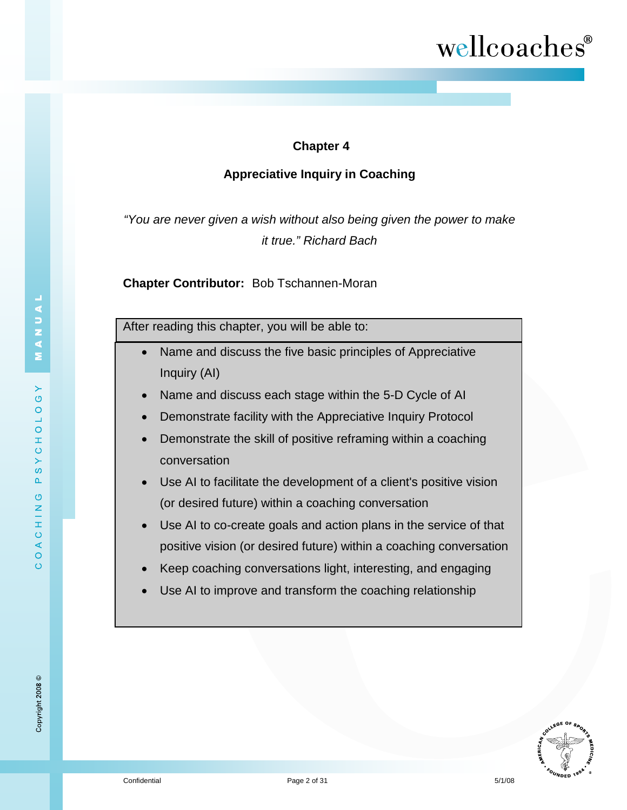#### **Chapter 4**

#### **Appreciative Inquiry in Coaching**

*"You are never given a wish without also being given the power to make it true." Richard Bach*

**Chapter Contributor:** Bob Tschannen-Moran

After reading this chapter, you will be able to:

- Name and discuss the five basic principles of Appreciative Inquiry (AI)
- Name and discuss each stage within the 5-D Cycle of AI
- Demonstrate facility with the Appreciative Inquiry Protocol
- Demonstrate the skill of positive reframing within a coaching conversation
- Use AI to facilitate the development of a client's positive vision (or desired future) within a coaching conversation
- Use AI to co-create goals and action plans in the service of that positive vision (or desired future) within a coaching conversation
- Keep coaching conversations light, interesting, and engaging
- Use AI to improve and transform the coaching relationship



MANUAL

 $\succ$  $\circ$  $\bigcirc$  $\Box$  $\overline{O}$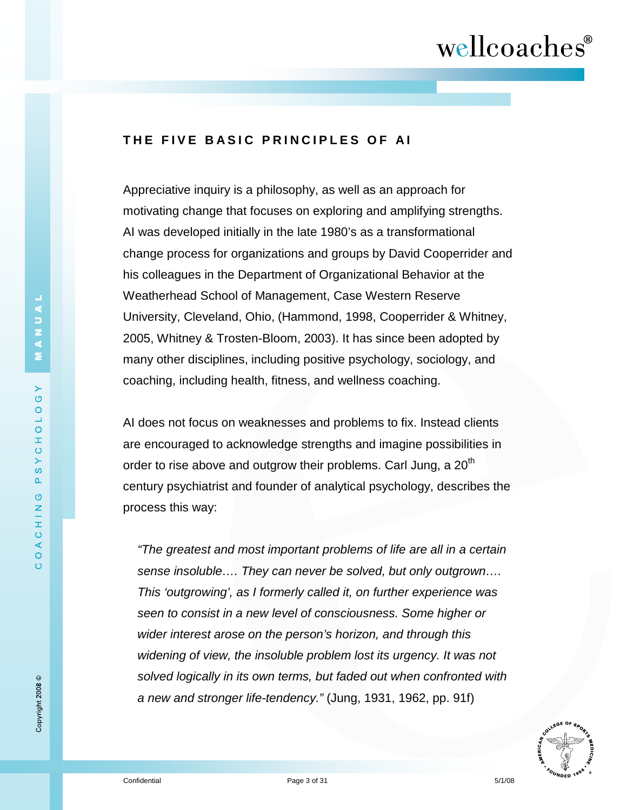### wellcoaches<sup>®</sup>

#### **THE FIVE BASIC PRINCIPLES OF AI**

Appreciative inquiry is a philosophy, as well as an approach for motivating change that focuses on exploring and amplifying strengths. AI was developed initially in the late 1980's as a transformational change process for organizations and groups by David Cooperrider and his colleagues in the Department of Organizational Behavior at the Weatherhead School of Management, Case Western Reserve University, Cleveland, Ohio, (Hammond, 1998, Cooperrider & Whitney, 2005, Whitney & Trosten-Bloom, 2003). It has since been adopted by many other disciplines, including positive psychology, sociology, and coaching, including health, fitness, and wellness coaching.

AI does not focus on weaknesses and problems to fix. Instead clients are encouraged to acknowledge strengths and imagine possibilities in order to rise above and outgrow their problems. Carl Jung, a 20<sup>th</sup> century psychiatrist and founder of analytical psychology, describes the process this way:

*"The greatest and most important problems of life are all in a certain sense insoluble…. They can never be solved, but only outgrown…. This 'outgrowing', as I formerly called it, on further experience was seen to consist in a new level of consciousness. Some higher or wider interest arose on the person's horizon, and through this widening of view, the insoluble problem lost its urgency. It was not solved logically in its own terms, but faded out when confronted with a new and stronger life-tendency."* (Jung, 1931, 1962, pp. 91f)



H,  $\circ$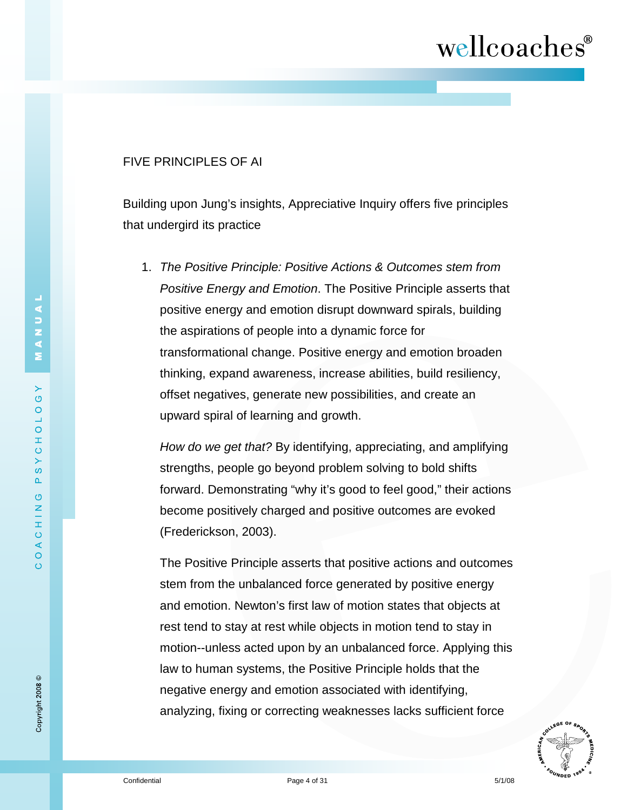#### FIVE PRINCIPLES OF AI

Building upon Jung's insights, Appreciative Inquiry offers five principles that undergird its practice

1. *The Positive Principle: Positive Actions & Outcomes stem from Positive Energy and Emotion*. The Positive Principle asserts that positive energy and emotion disrupt downward spirals, building the aspirations of people into a dynamic force for transformational change. Positive energy and emotion broaden thinking, expand awareness, increase abilities, build resiliency, offset negatives, generate new possibilities, and create an upward spiral of learning and growth.

*How do we get that?* By identifying, appreciating, and amplifying strengths, people go beyond problem solving to bold shifts forward. Demonstrating "why it's good to feel good," their actions become positively charged and positive outcomes are evoked (Frederickson, 2003).

The Positive Principle asserts that positive actions and outcomes stem from the unbalanced force generated by positive energy and emotion. Newton's first law of motion states that objects at rest tend to stay at rest while objects in motion tend to stay in motion--unless acted upon by an unbalanced force. Applying this law to human systems, the Positive Principle holds that the negative energy and emotion associated with identifying, analyzing, fixing or correcting weaknesses lacks sufficient force



 $\circ$ 

NANUAL

 $\geq$  $\circ$  $\bigcirc$ Ц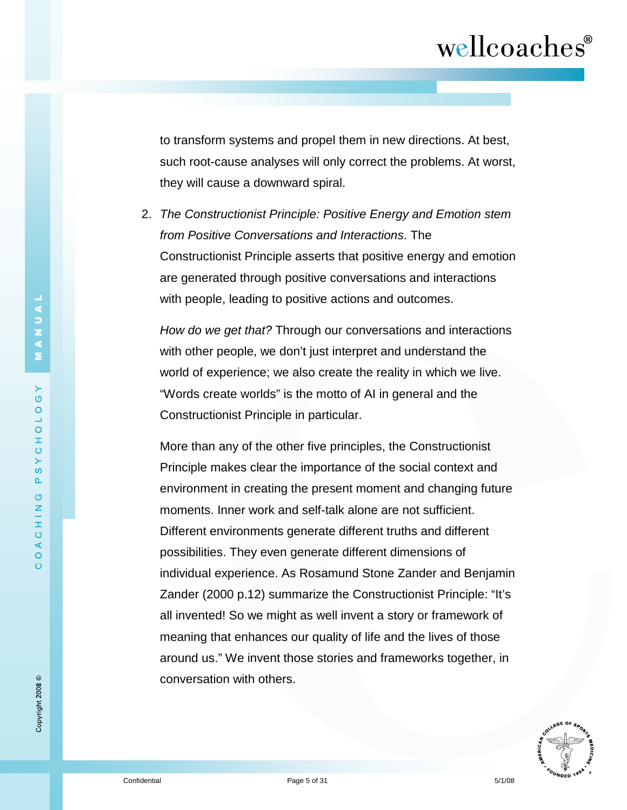### wellcoaches<sup>®</sup>

to transform systems and propel them in new directions. At best, such root-cause analyses will only correct the problems. At worst, they will cause a downward spiral.

2. *The Constructionist Principle: Positive Energy and Emotion stem from Positive Conversations and Interactions*. The Constructionist Principle asserts that positive energy and emotion are generated through positive conversations and interactions with people, leading to positive actions and outcomes.

*How do we get that?* Through our conversations and interactions with other people, we don't just interpret and understand the world of experience; we also create the reality in which we live. "Words create worlds" is the motto of AI in general and the Constructionist Principle in particular.

More than any of the other five principles, the Constructionist Principle makes clear the importance of the social context and environment in creating the present moment and changing future moments. Inner work and self-talk alone are not sufficient. Different environments generate different truths and different possibilities. They even generate different dimensions of individual experience. As Rosamund Stone Zander and Benjamin Zander (2000 p.12) summarize the Constructionist Principle: "It's all invented! So we might as well invent a story or framework of meaning that enhances our quality of life and the lives of those around us." We invent those stories and frameworks together, in conversation with others.



MANUAL

 $\geq$  $\circ$  $\circ$ Ц  $\overline{O}$ H,  $\circ$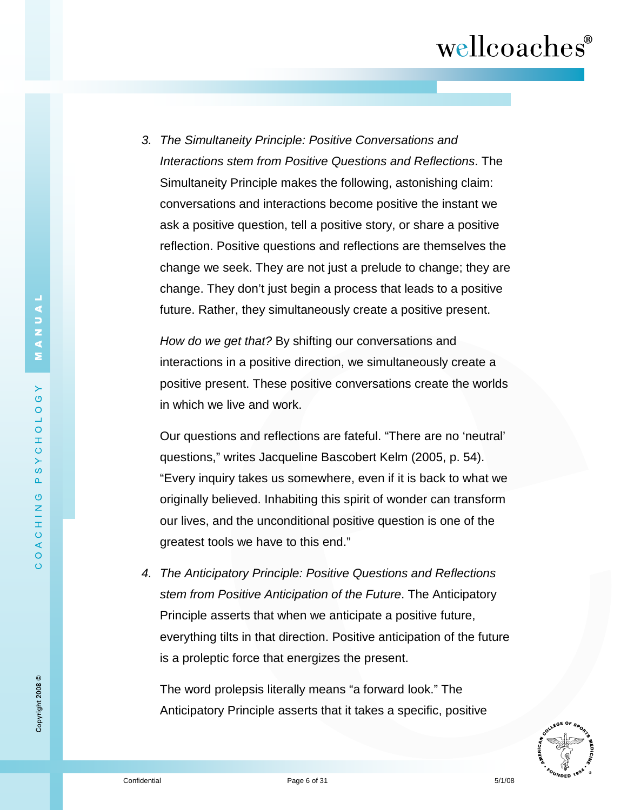*3. The Simultaneity Principle: Positive Conversations and Interactions stem from Positive Questions and Reflections*. The Simultaneity Principle makes the following, astonishing claim: conversations and interactions become positive the instant we ask a positive question, tell a positive story, or share a positive reflection. Positive questions and reflections are themselves the change we seek. They are not just a prelude to change; they are change. They don't just begin a process that leads to a positive future. Rather, they simultaneously create a positive present.

*How do we get that?* By shifting our conversations and interactions in a positive direction, we simultaneously create a positive present. These positive conversations create the worlds in which we live and work.

Our questions and reflections are fateful. "There are no 'neutral' questions," writes Jacqueline Bascobert Kelm (2005, p. 54). "Every inquiry takes us somewhere, even if it is back to what we originally believed. Inhabiting this spirit of wonder can transform our lives, and the unconditional positive question is one of the greatest tools we have to this end."

*4. The Anticipatory Principle: Positive Questions and Reflections stem from Positive Anticipation of the Future*. The Anticipatory Principle asserts that when we anticipate a positive future, everything tilts in that direction. Positive anticipation of the future is a proleptic force that energizes the present.

The word prolepsis literally means "a forward look." The Anticipatory Principle asserts that it takes a specific, positive

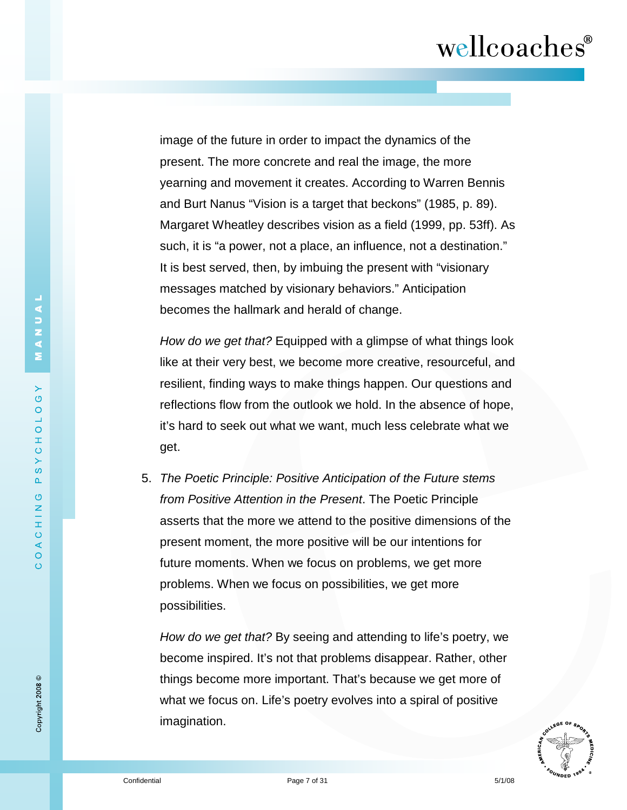image of the future in order to impact the dynamics of the present. The more concrete and real the image, the more yearning and movement it creates. According to Warren Bennis and Burt Nanus "Vision is a target that beckons" (1985, p. 89). Margaret Wheatley describes vision as a field (1999, pp. 53ff). As such, it is "a power, not a place, an influence, not a destination." It is best served, then, by imbuing the present with "visionary messages matched by visionary behaviors." Anticipation becomes the hallmark and herald of change.

*How do we get that?* Equipped with a glimpse of what things look like at their very best, we become more creative, resourceful, and resilient, finding ways to make things happen. Our questions and reflections flow from the outlook we hold. In the absence of hope, it's hard to seek out what we want, much less celebrate what we get.

5. *The Poetic Principle: Positive Anticipation of the Future stems from Positive Attention in the Present*. The Poetic Principle asserts that the more we attend to the positive dimensions of the present moment, the more positive will be our intentions for future moments. When we focus on problems, we get more problems. When we focus on possibilities, we get more possibilities.

*How do we get that?* By seeing and attending to life's poetry, we become inspired. It's not that problems disappear. Rather, other things become more important. That's because we get more of what we focus on. Life's poetry evolves into a spiral of positive imagination.



MANUAL

 $\geq$  $\circ$  $\bigcirc$ Ц  $\overline{O}$ H,  $\circ$  $\succ$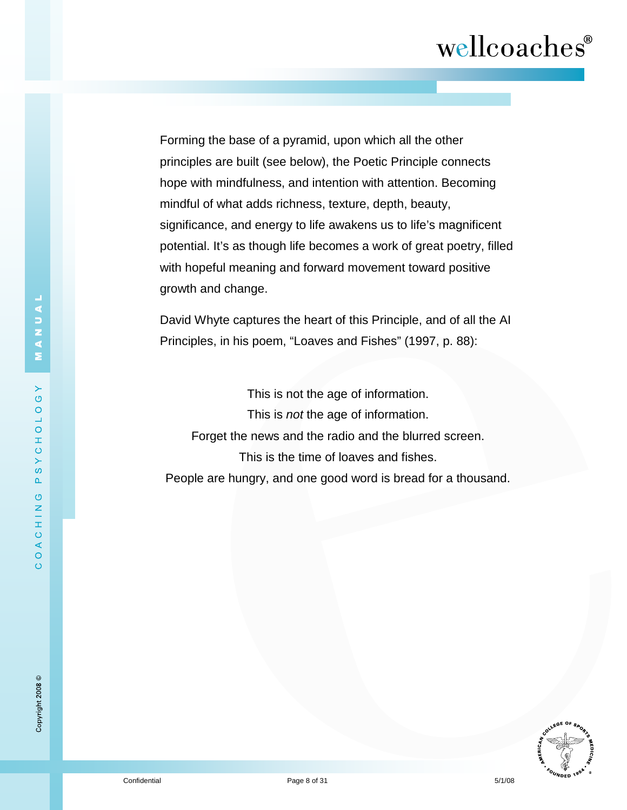Forming the base of a pyramid, upon which all the other principles are built (see below), the Poetic Principle connects hope with mindfulness, and intention with attention. Becoming mindful of what adds richness, texture, depth, beauty, significance, and energy to life awakens us to life's magnificent potential. It's as though life becomes a work of great poetry, filled with hopeful meaning and forward movement toward positive growth and change.

David Whyte captures the heart of this Principle, and of all the AI Principles, in his poem, "Loaves and Fishes" (1997, p. 88):

This is not the age of information. This is *not* the age of information. Forget the news and the radio and the blurred screen. This is the time of loaves and fishes. People are hungry, and one good word is bread for a thousand.



MANUAL

 $\succ$  $\circ$  $\bigcirc$  $\Box$  $\overline{O}$ H,  $\circ$  $\succ$  $\omega$  $\Delta$  $\circ$  $\mathsf{z}$ Ì,  $\circ$  $\prec$  $\circ$  $\circ$ 

Copyright 2008 ©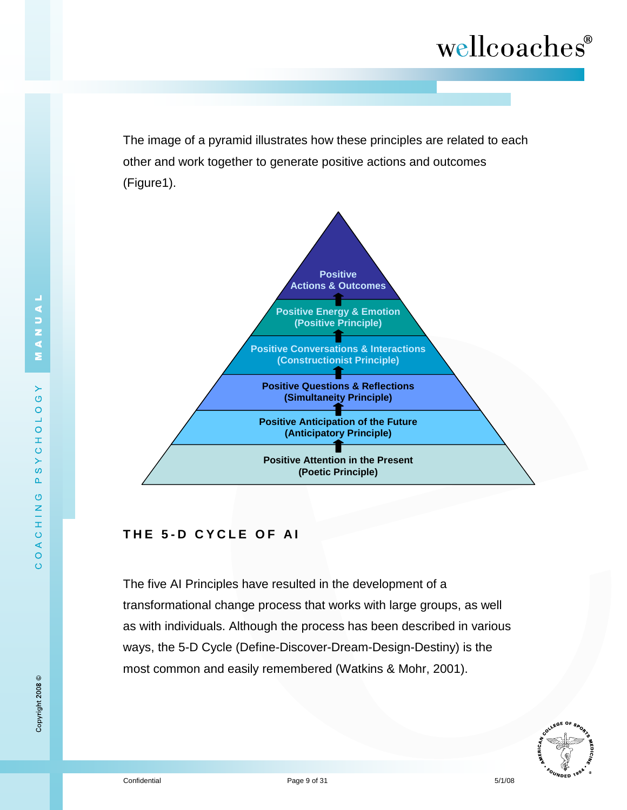### wellcoaches<sup>®</sup>

The image of a pyramid illustrates how these principles are related to each other and work together to generate positive actions and outcomes (Figure1).



#### **THE 5 - D CYCLE OF AI**

The five AI Principles have resulted in the development of a transformational change process that works with large groups, as well as with individuals. Although the process has been described in various ways, the 5-D Cycle (Define-Discover-Dream-Design-Destiny) is the most common and easily remembered (Watkins & Mohr, 2001).

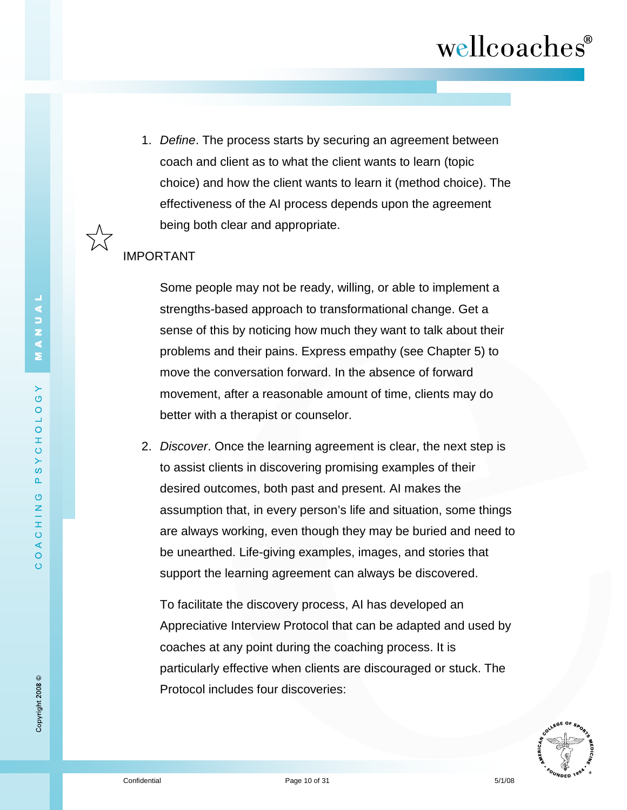1. *Define*. The process starts by securing an agreement between coach and client as to what the client wants to learn (topic choice) and how the client wants to learn it (method choice). The effectiveness of the AI process depends upon the agreement being both clear and appropriate.

#### IMPORTANT

Some people may not be ready, willing, or able to implement a strengths-based approach to transformational change. Get a sense of this by noticing how much they want to talk about their problems and their pains. Express empathy (see Chapter 5) to move the conversation forward. In the absence of forward movement, after a reasonable amount of time, clients may do better with a therapist or counselor.

2. *Discover*. Once the learning agreement is clear, the next step is to assist clients in discovering promising examples of their desired outcomes, both past and present. AI makes the assumption that, in every person's life and situation, some things are always working, even though they may be buried and need to be unearthed. Life-giving examples, images, and stories that support the learning agreement can always be discovered.

To facilitate the discovery process, AI has developed an Appreciative Interview Protocol that can be adapted and used by coaches at any point during the coaching process. It is particularly effective when clients are discouraged or stuck. The Protocol includes four discoveries:



MANUAL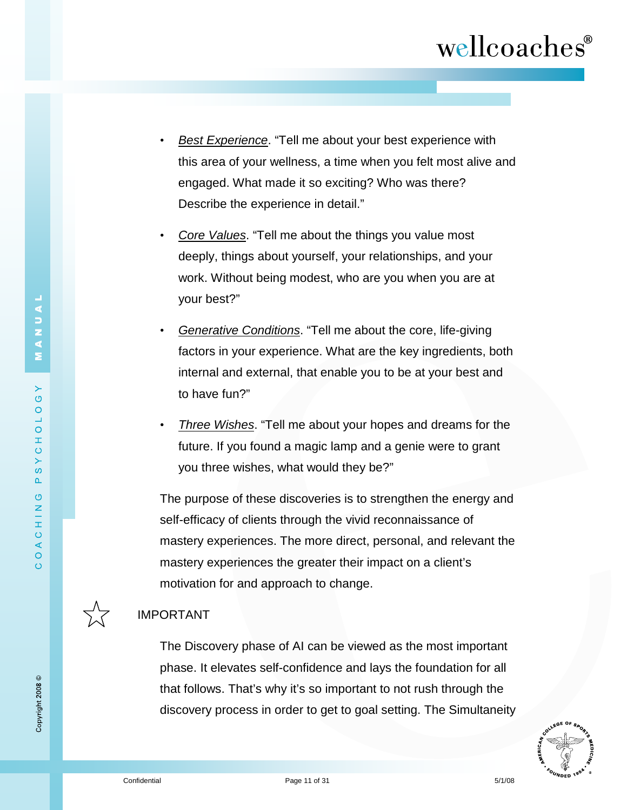- *Best Experience*. "Tell me about your best experience with this area of your wellness, a time when you felt most alive and engaged. What made it so exciting? Who was there? Describe the experience in detail."
- *Core Values*. "Tell me about the things you value most deeply, things about yourself, your relationships, and your work. Without being modest, who are you when you are at your best?"
- *Generative Conditions*. "Tell me about the core, life-giving factors in your experience. What are the key ingredients, both internal and external, that enable you to be at your best and to have fun?"
- *Three Wishes*. "Tell me about your hopes and dreams for the future. If you found a magic lamp and a genie were to grant you three wishes, what would they be?"

The purpose of these discoveries is to strengthen the energy and self-efficacy of clients through the vivid reconnaissance of mastery experiences. The more direct, personal, and relevant the mastery experiences the greater their impact on a client's motivation for and approach to change.

#### IMPORTANT

The Discovery phase of AI can be viewed as the most important phase. It elevates self-confidence and lays the foundation for all that follows. That's why it's so important to not rush through the discovery process in order to get to goal setting. The Simultaneity



Ì,  $\circ$ ⋖  $\circ$  $\circ$ 

Copyright 2008 ©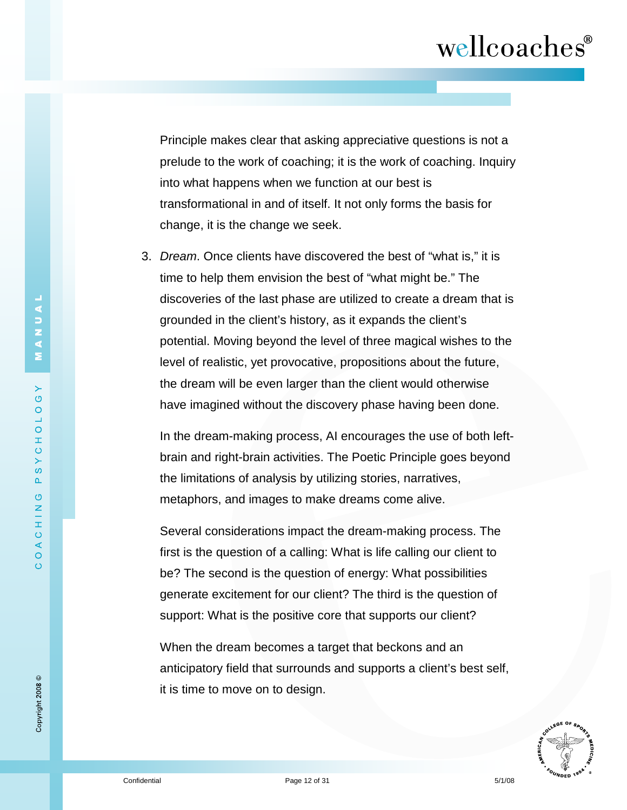### wellcoaches<sup>®</sup>

Principle makes clear that asking appreciative questions is not a prelude to the work of coaching; it is the work of coaching. Inquiry into what happens when we function at our best is transformational in and of itself. It not only forms the basis for change, it is the change we seek.

3. *Dream*. Once clients have discovered the best of "what is," it is time to help them envision the best of "what might be." The discoveries of the last phase are utilized to create a dream that is grounded in the client's history, as it expands the client's potential. Moving beyond the level of three magical wishes to the level of realistic, yet provocative, propositions about the future, the dream will be even larger than the client would otherwise have imagined without the discovery phase having been done.

In the dream-making process, AI encourages the use of both leftbrain and right-brain activities. The Poetic Principle goes beyond the limitations of analysis by utilizing stories, narratives, metaphors, and images to make dreams come alive.

Several considerations impact the dream-making process. The first is the question of a calling: What is life calling our client to be? The second is the question of energy: What possibilities generate excitement for our client? The third is the question of support: What is the positive core that supports our client?

When the dream becomes a target that beckons and an anticipatory field that surrounds and supports a client's best self, it is time to move on to design.



H,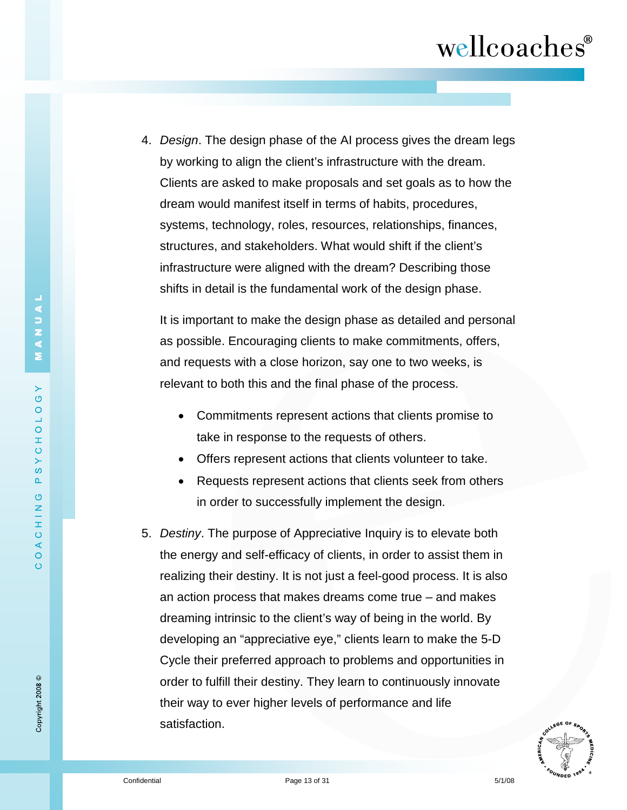4. *Design*. The design phase of the AI process gives the dream legs by working to align the client's infrastructure with the dream. Clients are asked to make proposals and set goals as to how the dream would manifest itself in terms of habits, procedures, systems, technology, roles, resources, relationships, finances, structures, and stakeholders. What would shift if the client's infrastructure were aligned with the dream? Describing those shifts in detail is the fundamental work of the design phase.

It is important to make the design phase as detailed and personal as possible. Encouraging clients to make commitments, offers, and requests with a close horizon, say one to two weeks, is relevant to both this and the final phase of the process.

- Commitments represent actions that clients promise to take in response to the requests of others.
- Offers represent actions that clients volunteer to take.
- Requests represent actions that clients seek from others in order to successfully implement the design.
- 5. *Destiny*. The purpose of Appreciative Inquiry is to elevate both the energy and self-efficacy of clients, in order to assist them in realizing their destiny. It is not just a feel-good process. It is also an action process that makes dreams come true – and makes dreaming intrinsic to the client's way of being in the world. By developing an "appreciative eye," clients learn to make the 5-D Cycle their preferred approach to problems and opportunities in order to fulfill their destiny. They learn to continuously innovate their way to ever higher levels of performance and life satisfaction.



 $\overline{O}$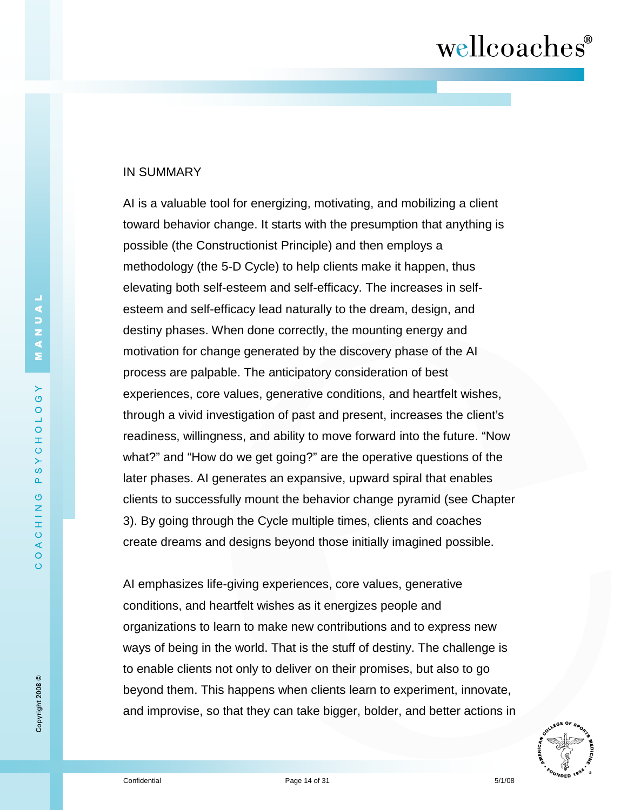#### IN SUMMARY

AI is a valuable tool for energizing, motivating, and mobilizing a client toward behavior change. It starts with the presumption that anything is possible (the Constructionist Principle) and then employs a methodology (the 5-D Cycle) to help clients make it happen, thus elevating both self-esteem and self-efficacy. The increases in selfesteem and self-efficacy lead naturally to the dream, design, and destiny phases. When done correctly, the mounting energy and motivation for change generated by the discovery phase of the AI process are palpable. The anticipatory consideration of best experiences, core values, generative conditions, and heartfelt wishes, through a vivid investigation of past and present, increases the client's readiness, willingness, and ability to move forward into the future. "Now what?" and "How do we get going?" are the operative questions of the later phases. AI generates an expansive, upward spiral that enables clients to successfully mount the behavior change pyramid (see Chapter 3). By going through the Cycle multiple times, clients and coaches create dreams and designs beyond those initially imagined possible.

AI emphasizes life-giving experiences, core values, generative conditions, and heartfelt wishes as it energizes people and organizations to learn to make new contributions and to express new ways of being in the world. That is the stuff of destiny. The challenge is to enable clients not only to deliver on their promises, but also to go beyond them. This happens when clients learn to experiment, innovate, and improvise, so that they can take bigger, bolder, and better actions in



 $\bigcirc$ Ц  $\overline{O}$ H,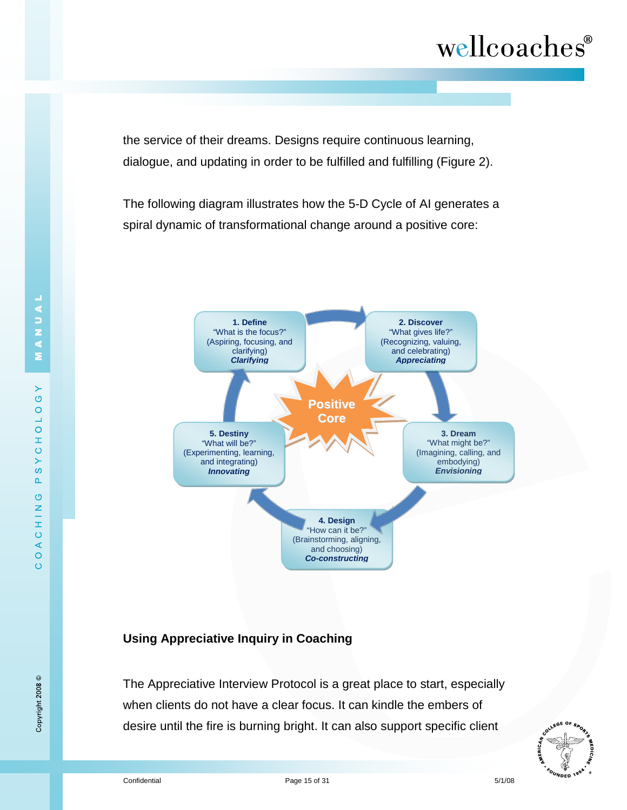the service of their dreams. Designs require continuous learning, dialogue, and updating in order to be fulfilled and fulfilling (Figure 2).

The following diagram illustrates how the 5-D Cycle of AI generates a spiral dynamic of transformational change around a positive core:



#### **Using Appreciative Inquiry in Coaching**

The Appreciative Interview Protocol is a great place to start, especially when clients do not have a clear focus. It can kindle the embers of desire until the fire is burning bright. It can also support specific client



 $\mathsf{z}$ Ŧ,  $\circ$  $\prec$  $\circ$  $\circ$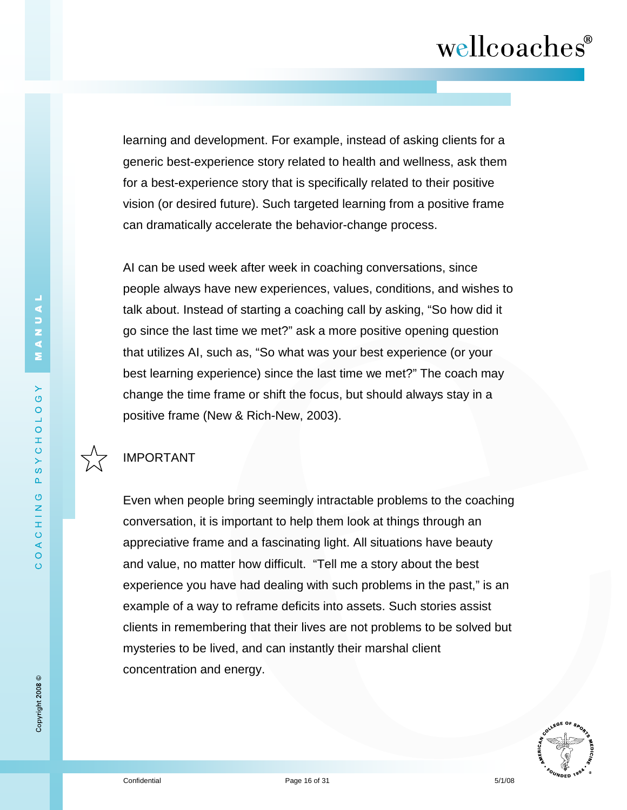learning and development. For example, instead of asking clients for a generic best-experience story related to health and wellness, ask them for a best-experience story that is specifically related to their positive vision (or desired future). Such targeted learning from a positive frame can dramatically accelerate the behavior-change process.

AI can be used week after week in coaching conversations, since people always have new experiences, values, conditions, and wishes to talk about. Instead of starting a coaching call by asking, "So how did it go since the last time we met?" ask a more positive opening question that utilizes AI, such as, "So what was your best experience (or your best learning experience) since the last time we met?" The coach may change the time frame or shift the focus, but should always stay in a positive frame (New & Rich-New, 2003).

#### IMPORTANT

Even when people bring seemingly intractable problems to the coaching conversation, it is important to help them look at things through an appreciative frame and a fascinating light. All situations have beauty and value, no matter how difficult. "Tell me a story about the best experience you have had dealing with such problems in the past," is an example of a way to reframe deficits into assets. Such stories assist clients in remembering that their lives are not problems to be solved but mysteries to be lived, and can instantly their marshal client concentration and energy.



 $\succ$  $\omega$  $\mathbf{a}$  $\overline{O}$ Z Ŧ,  $\circ$  $\prec$  $\circ$  $\circ$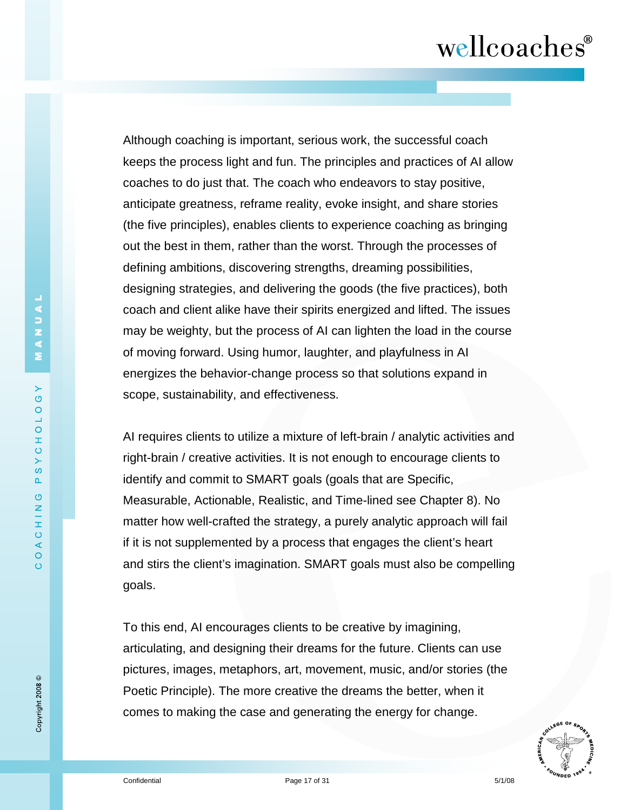Although coaching is important, serious work, the successful coach keeps the process light and fun. The principles and practices of AI allow coaches to do just that. The coach who endeavors to stay positive, anticipate greatness, reframe reality, evoke insight, and share stories (the five principles), enables clients to experience coaching as bringing out the best in them, rather than the worst. Through the processes of defining ambitions, discovering strengths, dreaming possibilities, designing strategies, and delivering the goods (the five practices), both coach and client alike have their spirits energized and lifted. The issues may be weighty, but the process of AI can lighten the load in the course of moving forward. Using humor, laughter, and playfulness in AI energizes the behavior-change process so that solutions expand in scope, sustainability, and effectiveness.

AI requires clients to utilize a mixture of left-brain / analytic activities and right-brain / creative activities. It is not enough to encourage clients to identify and commit to SMART goals (goals that are Specific, Measurable, Actionable, Realistic, and Time-lined see Chapter 8). No matter how well-crafted the strategy, a purely analytic approach will fail if it is not supplemented by a process that engages the client's heart and stirs the client's imagination. SMART goals must also be compelling goals.

To this end, AI encourages clients to be creative by imagining, articulating, and designing their dreams for the future. Clients can use pictures, images, metaphors, art, movement, music, and/or stories (the Poetic Principle). The more creative the dreams the better, when it comes to making the case and generating the energy for change.



MANUAL  $\succ$  $\circ$  $\circ$ Ц  $\overline{O}$ H,  $\circ$  $\succ$  $\omega$  $\mathbf{a}$  $\overline{O}$ 

> Z Ŧ,  $\circ$  $\prec$  $\circ$  $\circ$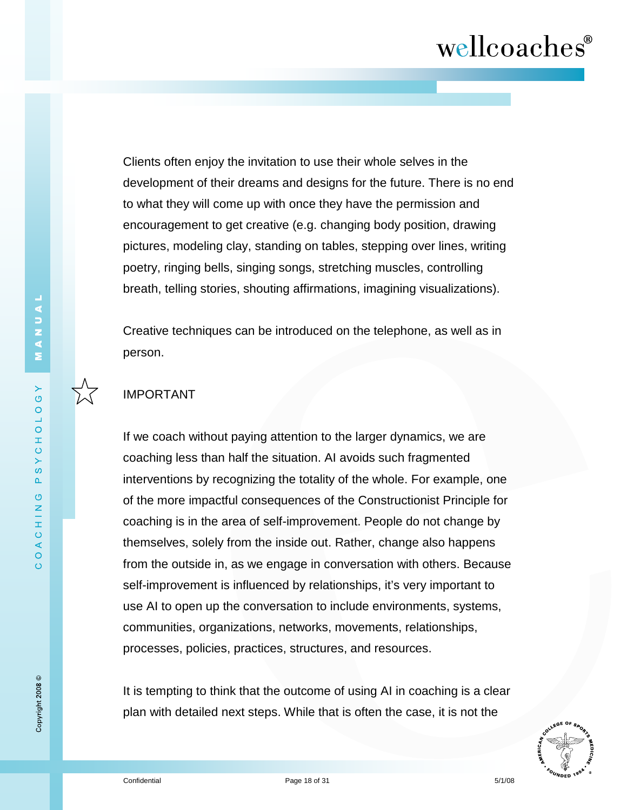Clients often enjoy the invitation to use their whole selves in the development of their dreams and designs for the future. There is no end to what they will come up with once they have the permission and encouragement to get creative (e.g. changing body position, drawing pictures, modeling clay, standing on tables, stepping over lines, writing poetry, ringing bells, singing songs, stretching muscles, controlling breath, telling stories, shouting affirmations, imagining visualizations).

Creative techniques can be introduced on the telephone, as well as in person.

#### IMPORTANT

If we coach without paying attention to the larger dynamics, we are coaching less than half the situation. AI avoids such fragmented interventions by recognizing the totality of the whole. For example, one of the more impactful consequences of the Constructionist Principle for coaching is in the area of self-improvement. People do not change by themselves, solely from the inside out. Rather, change also happens from the outside in, as we engage in conversation with others. Because self-improvement is influenced by relationships, it's very important to use AI to open up the conversation to include environments, systems, communities, organizations, networks, movements, relationships, processes, policies, practices, structures, and resources.

It is tempting to think that the outcome of using AI in coaching is a clear plan with detailed next steps. While that is often the case, it is not the



 $\circ$  $\prec$  $\circ$  $\circ$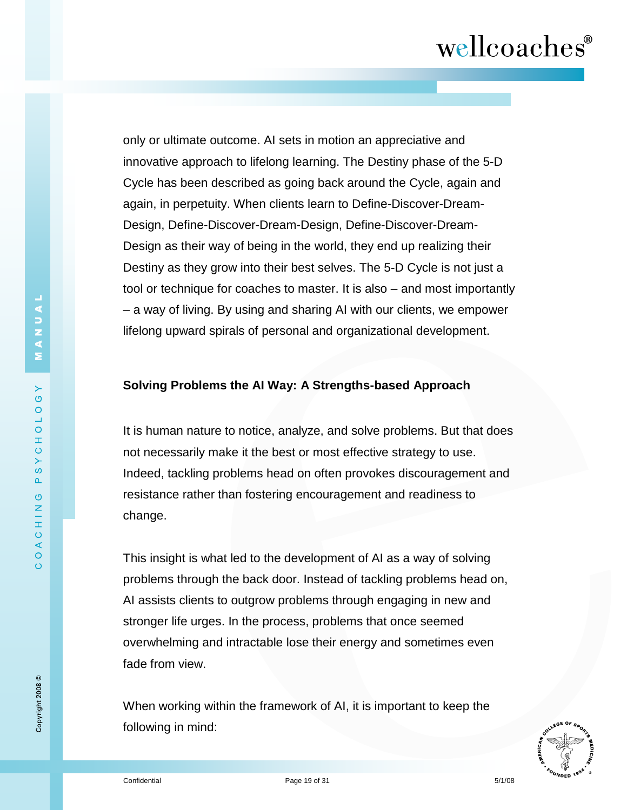only or ultimate outcome. AI sets in motion an appreciative and innovative approach to lifelong learning. The Destiny phase of the 5-D Cycle has been described as going back around the Cycle, again and again, in perpetuity. When clients learn to Define-Discover-Dream-Design, Define-Discover-Dream-Design, Define-Discover-Dream-Design as their way of being in the world, they end up realizing their Destiny as they grow into their best selves. The 5-D Cycle is not just a tool or technique for coaches to master. It is also – and most importantly – a way of living. By using and sharing AI with our clients, we empower lifelong upward spirals of personal and organizational development.

#### **Solving Problems the AI Way: A Strengths-based Approach**

It is human nature to notice, analyze, and solve problems. But that does not necessarily make it the best or most effective strategy to use. Indeed, tackling problems head on often provokes discouragement and resistance rather than fostering encouragement and readiness to change.

This insight is what led to the development of AI as a way of solving problems through the back door. Instead of tackling problems head on, AI assists clients to outgrow problems through engaging in new and stronger life urges. In the process, problems that once seemed overwhelming and intractable lose their energy and sometimes even fade from view.

When working within the framework of AI, it is important to keep the following in mind:



 $\circ$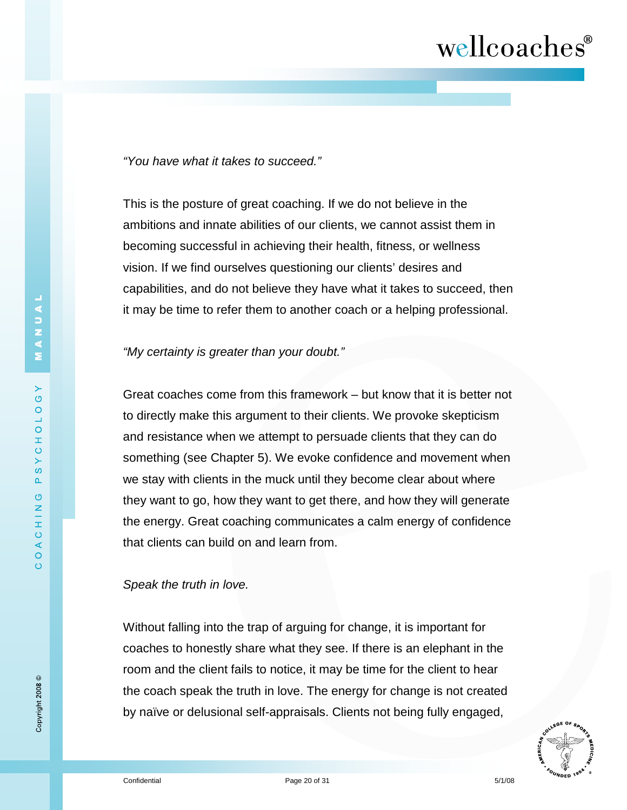#### *"You have what it takes to succeed."*

This is the posture of great coaching. If we do not believe in the ambitions and innate abilities of our clients, we cannot assist them in becoming successful in achieving their health, fitness, or wellness vision. If we find ourselves questioning our clients' desires and capabilities, and do not believe they have what it takes to succeed, then it may be time to refer them to another coach or a helping professional.

#### *"My certainty is greater than your doubt."*

Great coaches come from this framework – but know that it is better not to directly make this argument to their clients. We provoke skepticism and resistance when we attempt to persuade clients that they can do something (see Chapter 5). We evoke confidence and movement when we stay with clients in the muck until they become clear about where they want to go, how they want to get there, and how they will generate the energy. Great coaching communicates a calm energy of confidence that clients can build on and learn from.

#### *Speak the truth in love.*

Without falling into the trap of arguing for change, it is important for coaches to honestly share what they see. If there is an elephant in the room and the client fails to notice, it may be time for the client to hear the coach speak the truth in love. The energy for change is not created by naïve or delusional self-appraisals. Clients not being fully engaged,



Ŧ,  $\circ$  $\prec$  $\circ$  $\circ$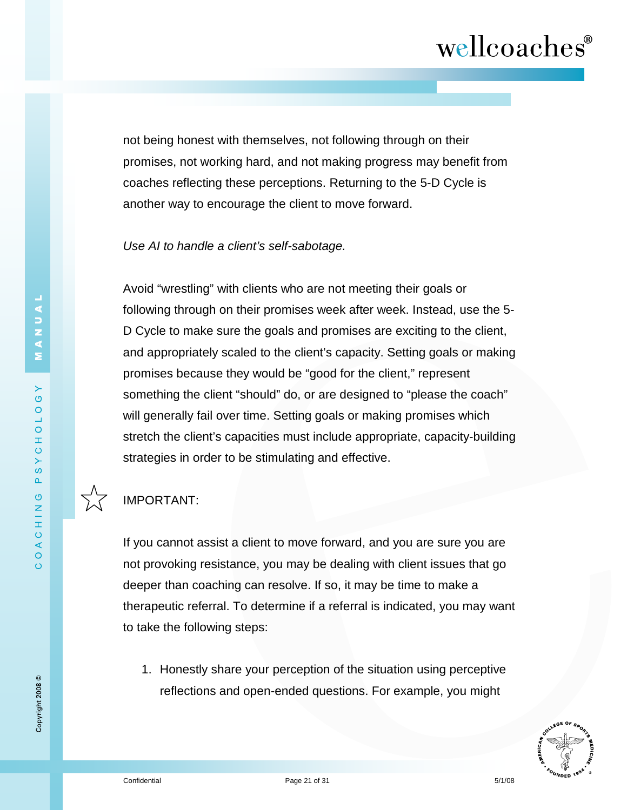not being honest with themselves, not following through on their promises, not working hard, and not making progress may benefit from coaches reflecting these perceptions. Returning to the 5-D Cycle is another way to encourage the client to move forward.

*Use AI to handle a client's self-sabotage.* 

Avoid "wrestling" with clients who are not meeting their goals or following through on their promises week after week. Instead, use the 5- D Cycle to make sure the goals and promises are exciting to the client, and appropriately scaled to the client's capacity. Setting goals or making promises because they would be "good for the client," represent something the client "should" do, or are designed to "please the coach" will generally fail over time. Setting goals or making promises which stretch the client's capacities must include appropriate, capacity-building strategies in order to be stimulating and effective.

#### IMPORTANT:

If you cannot assist a client to move forward, and you are sure you are not provoking resistance, you may be dealing with client issues that go deeper than coaching can resolve. If so, it may be time to make a therapeutic referral. To determine if a referral is indicated, you may want to take the following steps:

1. Honestly share your perception of the situation using perceptive reflections and open-ended questions. For example, you might



 $\circ$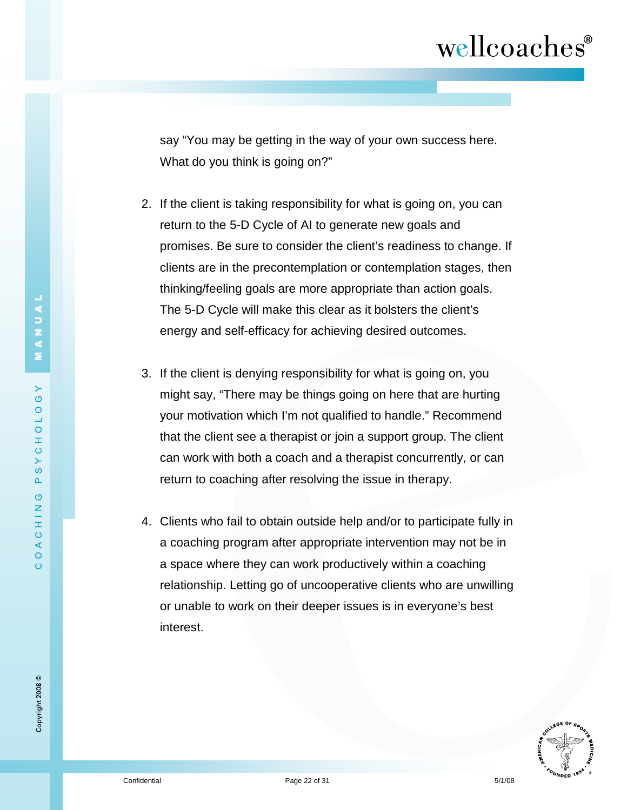say "You may be getting in the way of your own success here. What do you think is going on?"

- 2. If the client is taking responsibility for what is going on, you can return to the 5-D Cycle of AI to generate new goals and promises. Be sure to consider the client's readiness to change. If clients are in the precontemplation or contemplation stages, then thinking/feeling goals are more appropriate than action goals. The 5-D Cycle will make this clear as it bolsters the client's energy and self-efficacy for achieving desired outcomes.
- 3. If the client is denying responsibility for what is going on, you might say, "There may be things going on here that are hurting your motivation which I'm not qualified to handle." Recommend that the client see a therapist or join a support group. The client can work with both a coach and a therapist concurrently, or can return to coaching after resolving the issue in therapy.
- 4. Clients who fail to obtain outside help and/or to participate fully in a coaching program after appropriate intervention may not be in a space where they can work productively within a coaching relationship. Letting go of uncooperative clients who are unwilling or unable to work on their deeper issues is in everyone's best interest.

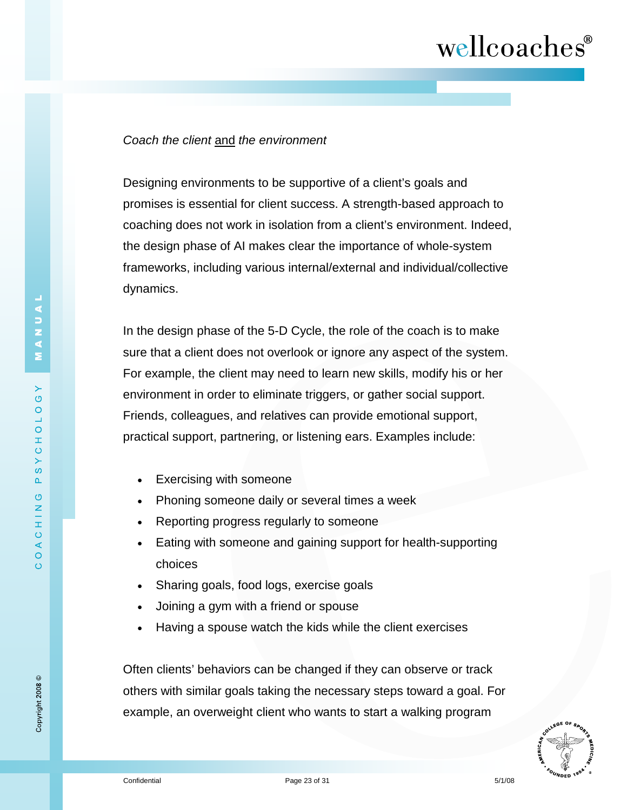#### *Coach the client* and *the environment*

Designing environments to be supportive of a client's goals and promises is essential for client success. A strength-based approach to coaching does not work in isolation from a client's environment. Indeed, the design phase of AI makes clear the importance of whole-system frameworks, including various internal/external and individual/collective dynamics.

In the design phase of the 5-D Cycle, the role of the coach is to make sure that a client does not overlook or ignore any aspect of the system. For example, the client may need to learn new skills, modify his or her environment in order to eliminate triggers, or gather social support. Friends, colleagues, and relatives can provide emotional support, practical support, partnering, or listening ears. Examples include:

- Exercising with someone
- Phoning someone daily or several times a week
- Reporting progress regularly to someone
- Eating with someone and gaining support for health-supporting choices
- Sharing goals, food logs, exercise goals
- Joining a gym with a friend or spouse
- Having a spouse watch the kids while the client exercises

Often clients' behaviors can be changed if they can observe or track others with similar goals taking the necessary steps toward a goal. For example, an overweight client who wants to start a walking program



 $\circ$ Z Ŧ,  $\circ$  $\prec$  $\circ$  $\circ$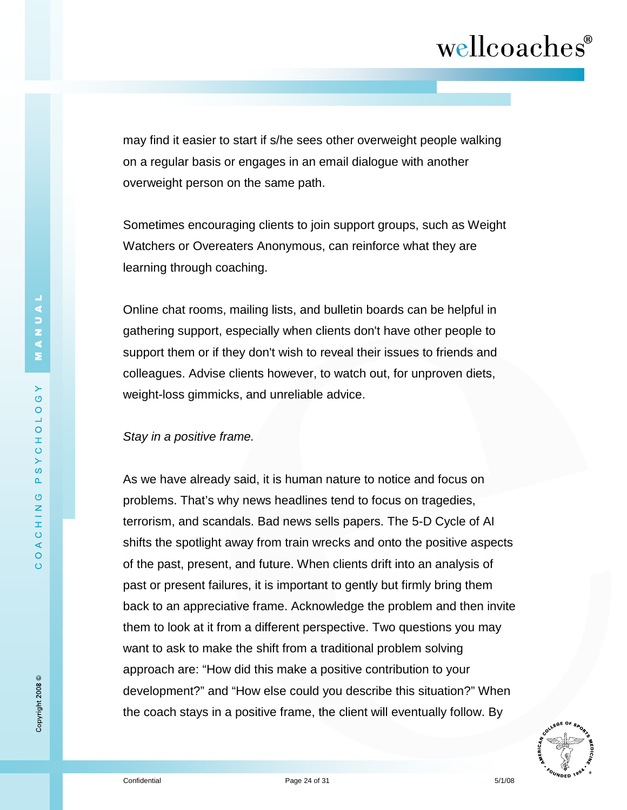may find it easier to start if s/he sees other overweight people walking on a regular basis or engages in an email dialogue with another overweight person on the same path.

Sometimes encouraging clients to join support groups, such as Weight Watchers or Overeaters Anonymous, can reinforce what they are learning through coaching.

Online chat rooms, mailing lists, and bulletin boards can be helpful in gathering support, especially when clients don't have other people to support them or if they don't wish to reveal their issues to friends and colleagues. Advise clients however, to watch out, for unproven diets, weight-loss gimmicks, and unreliable advice.

#### *Stay in a positive frame.*

As we have already said, it is human nature to notice and focus on problems. That's why news headlines tend to focus on tragedies, terrorism, and scandals. Bad news sells papers. The 5-D Cycle of AI shifts the spotlight away from train wrecks and onto the positive aspects of the past, present, and future. When clients drift into an analysis of past or present failures, it is important to gently but firmly bring them back to an appreciative frame. Acknowledge the problem and then invite them to look at it from a different perspective. Two questions you may want to ask to make the shift from a traditional problem solving approach are: "How did this make a positive contribution to your development?" and "How else could you describe this situation?" When the coach stays in a positive frame, the client will eventually follow. By



 $\circ$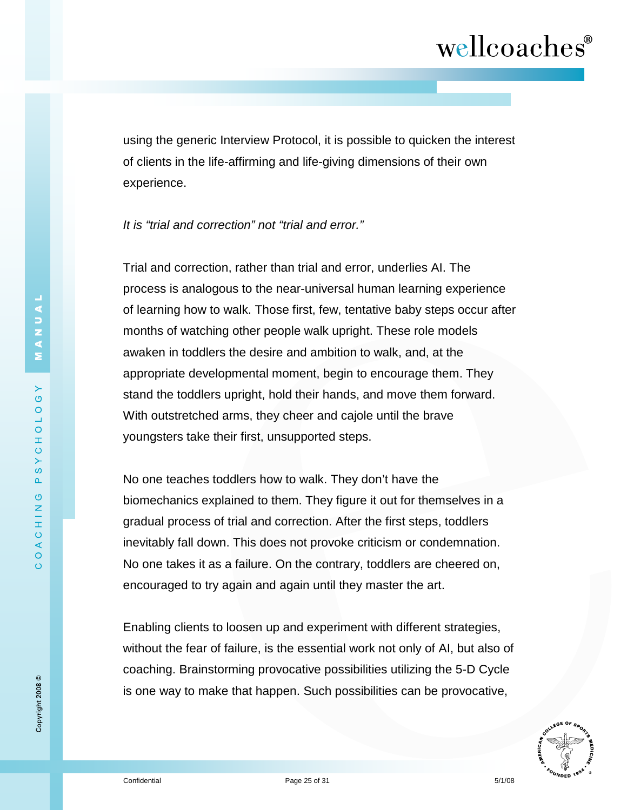using the generic Interview Protocol, it is possible to quicken the interest of clients in the life-affirming and life-giving dimensions of their own experience.

*It is "trial and correction" not "trial and error."*

Trial and correction, rather than trial and error, underlies AI. The process is analogous to the near-universal human learning experience of learning how to walk. Those first, few, tentative baby steps occur after months of watching other people walk upright. These role models awaken in toddlers the desire and ambition to walk, and, at the appropriate developmental moment, begin to encourage them. They stand the toddlers upright, hold their hands, and move them forward. With outstretched arms, they cheer and cajole until the brave youngsters take their first, unsupported steps.

No one teaches toddlers how to walk. They don't have the biomechanics explained to them. They figure it out for themselves in a gradual process of trial and correction. After the first steps, toddlers inevitably fall down. This does not provoke criticism or condemnation. No one takes it as a failure. On the contrary, toddlers are cheered on, encouraged to try again and again until they master the art.

Enabling clients to loosen up and experiment with different strategies, without the fear of failure, is the essential work not only of AI, but also of coaching. Brainstorming provocative possibilities utilizing the 5-D Cycle is one way to make that happen. Such possibilities can be provocative,



 $\circ$ Z Ŧ,  $\circ$  $\prec$  $\circ$  $\circ$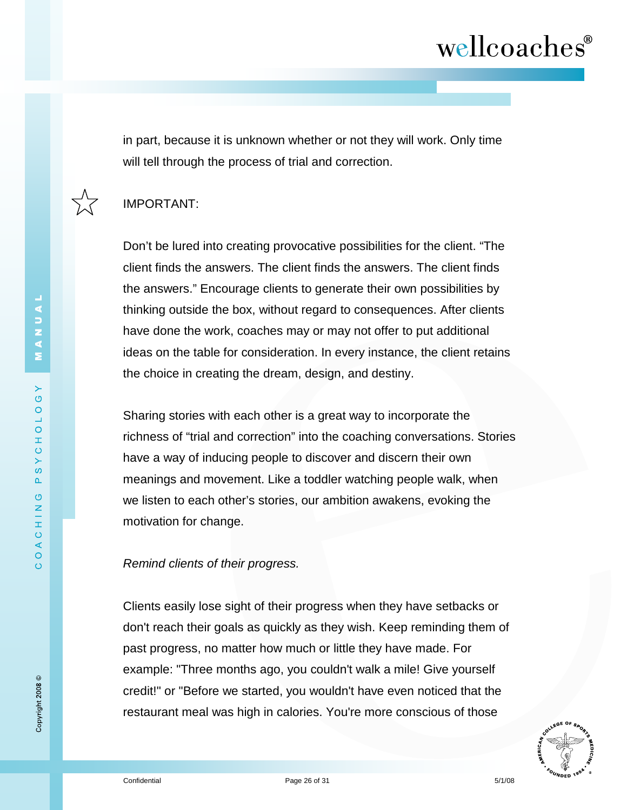in part, because it is unknown whether or not they will work. Only time will tell through the process of trial and correction.

#### IMPORTANT:

Don't be lured into creating provocative possibilities for the client. "The client finds the answers. The client finds the answers. The client finds the answers." Encourage clients to generate their own possibilities by thinking outside the box, without regard to consequences. After clients have done the work, coaches may or may not offer to put additional ideas on the table for consideration. In every instance, the client retains the choice in creating the dream, design, and destiny.

Sharing stories with each other is a great way to incorporate the richness of "trial and correction" into the coaching conversations. Stories have a way of inducing people to discover and discern their own meanings and movement. Like a toddler watching people walk, when we listen to each other's stories, our ambition awakens, evoking the motivation for change.

#### *Remind clients of their progress.*

Clients easily lose sight of their progress when they have setbacks or don't reach their goals as quickly as they wish. Keep reminding them of past progress, no matter how much or little they have made. For example: "Three months ago, you couldn't walk a mile! Give yourself credit!" or "Before we started, you wouldn't have even noticed that the restaurant meal was high in calories. You're more conscious of those



 $\circ$  $\prec$  $\circ$  $\circ$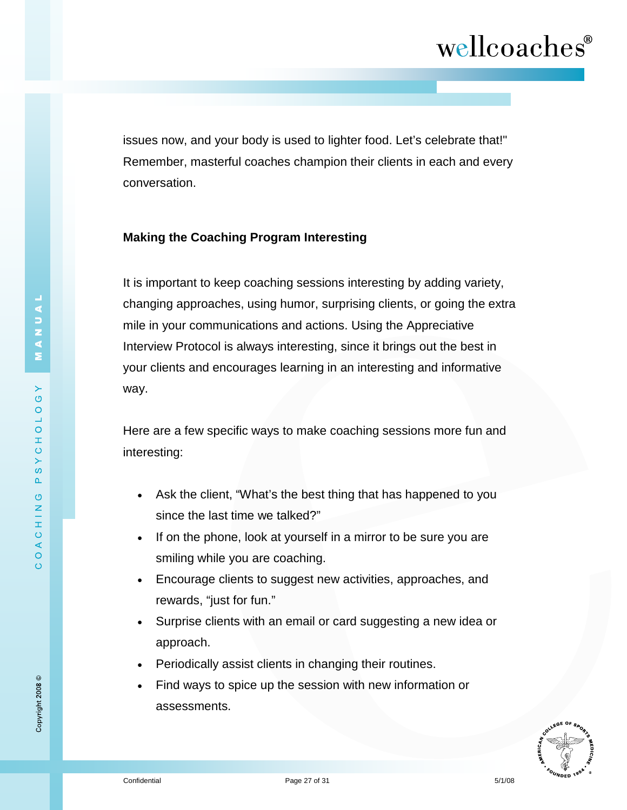issues now, and your body is used to lighter food. Let's celebrate that!" Remember, masterful coaches champion their clients in each and every conversation.

#### **Making the Coaching Program Interesting**

It is important to keep coaching sessions interesting by adding variety, changing approaches, using humor, surprising clients, or going the extra mile in your communications and actions. Using the Appreciative Interview Protocol is always interesting, since it brings out the best in your clients and encourages learning in an interesting and informative way.

Here are a few specific ways to make coaching sessions more fun and interesting:

- Ask the client, "What's the best thing that has happened to you since the last time we talked?"
- If on the phone, look at yourself in a mirror to be sure you are smiling while you are coaching.
- Encourage clients to suggest new activities, approaches, and rewards, "just for fun."
- Surprise clients with an email or card suggesting a new idea or approach.
- Periodically assist clients in changing their routines.
- Find ways to spice up the session with new information or assessments.



 $\prec$  $\circ$  $\circ$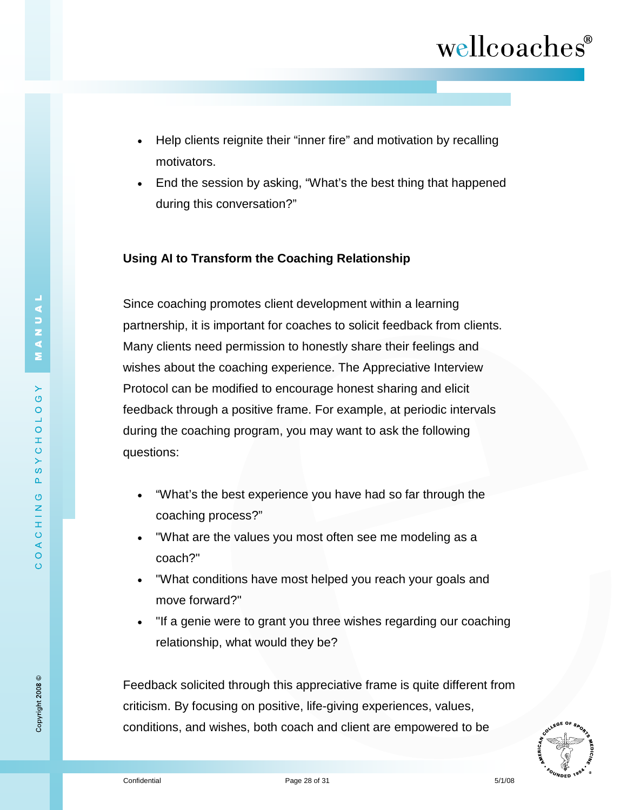- Help clients reignite their "inner fire" and motivation by recalling motivators.
- End the session by asking, "What's the best thing that happened during this conversation?"

#### **Using AI to Transform the Coaching Relationship**

Since coaching promotes client development within a learning partnership, it is important for coaches to solicit feedback from clients. Many clients need permission to honestly share their feelings and wishes about the coaching experience. The Appreciative Interview Protocol can be modified to encourage honest sharing and elicit feedback through a positive frame. For example, at periodic intervals during the coaching program, you may want to ask the following questions:

- "What's the best experience you have had so far through the coaching process?"
- "What are the values you most often see me modeling as a coach?"
- "What conditions have most helped you reach your goals and move forward?"
- "If a genie were to grant you three wishes regarding our coaching relationship, what would they be?

Feedback solicited through this appreciative frame is quite different from criticism. By focusing on positive, life-giving experiences, values, conditions, and wishes, both coach and client are empowered to be



 $\prec$  $\circ$  $\circ$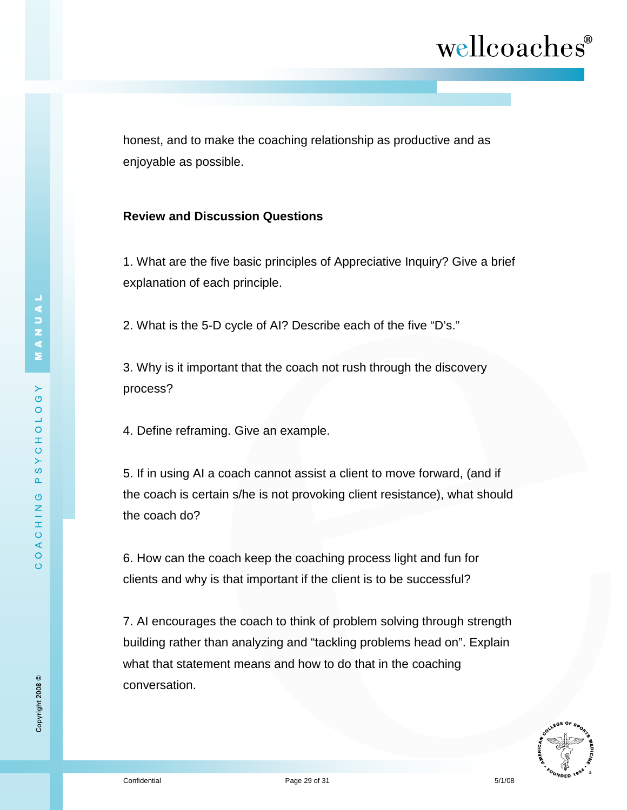honest, and to make the coaching relationship as productive and as enjoyable as possible.

#### **Review and Discussion Questions**

1. What are the five basic principles of Appreciative Inquiry? Give a brief explanation of each principle.

2. What is the 5-D cycle of AI? Describe each of the five "D's."

3. Why is it important that the coach not rush through the discovery process?

4. Define reframing. Give an example.

5. If in using AI a coach cannot assist a client to move forward, (and if the coach is certain s/he is not provoking client resistance), what should the coach do?

6. How can the coach keep the coaching process light and fun for clients and why is that important if the client is to be successful?

7. AI encourages the coach to think of problem solving through strength building rather than analyzing and "tackling problems head on". Explain what that statement means and how to do that in the coaching conversation.



NANUAL

 $\geq$  $\circ$  $\bigcirc$  $\Box$  $\overline{O}$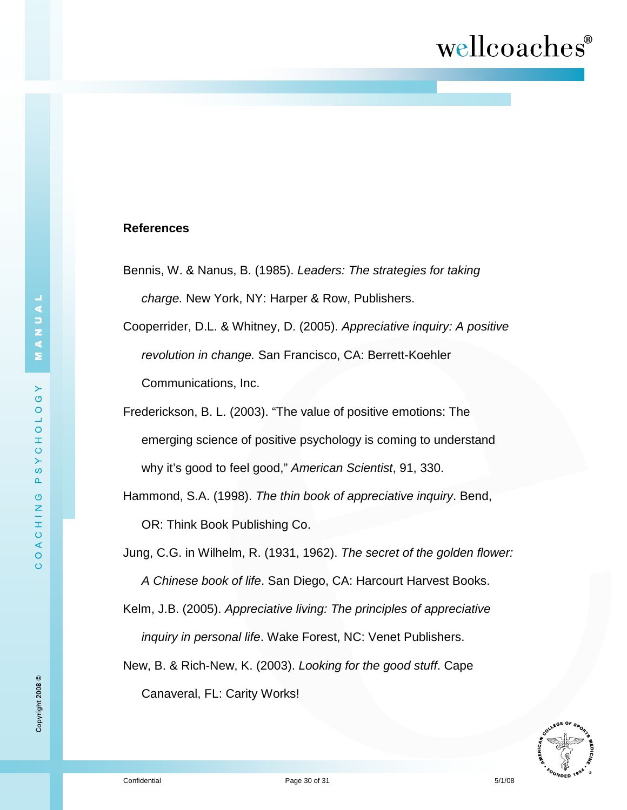#### **References**

- Bennis, W. & Nanus, B. (1985). *Leaders: The strategies for taking charge.* New York, NY: Harper & Row, Publishers.
- Cooperrider, D.L. & Whitney, D. (2005). *Appreciative inquiry: A positive revolution in change.* San Francisco, CA: Berrett-Koehler Communications, Inc.

Frederickson, B. L. (2003). "The value of positive emotions: The emerging science of positive psychology is coming to understand why it's good to feel good," *American Scientist*, 91, 330.

Hammond, S.A. (1998). *The thin book of appreciative inquiry*. Bend,

OR: Think Book Publishing Co.

Jung, C.G. in Wilhelm, R. (1931, 1962). *The secret of the golden flower:* 

*A Chinese book of life*. San Diego, CA: Harcourt Harvest Books.

Kelm, J.B. (2005). *Appreciative living: The principles of appreciative inquiry in personal life*. Wake Forest, NC: Venet Publishers.

New, B. & Rich-New, K. (2003). *Looking for the good stuff*. Cape Canaveral, FL: Carity Works!



NANUAL

 $\succ$  $\circ$  $\bigcirc$ Ц